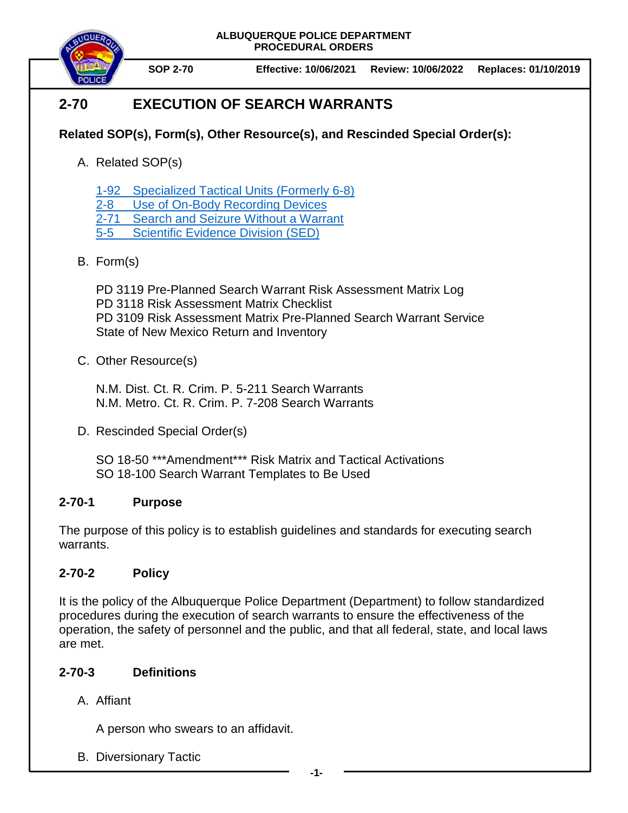

**SOP 2-70 Effective: 10/06/2021 Review: 10/06/2022 Replaces: 01/10/2019**

# **2-70 EXECUTION OF SEARCH WARRANTS**

# **Related SOP(s), Form(s), Other Resource(s), and Rescinded Special Order(s):**

A. Related SOP(s)

1-92 [Specialized Tactical Units](https://powerdms.com/docs/2067165) (Formerly 6-8)

2-8 [Use of On-Body Recording Devices](https://powerdms.com/docs/1137)

2-71 [Search and Seizure Without a Warrant](https://powerdms.com/docs/100)

5-5 [Scientific Evidence Division \(SED\)](https://powerdms.com/docs/398859)

# B. Form(s)

PD 3119 Pre-Planned Search Warrant Risk Assessment Matrix Log PD 3118 Risk Assessment Matrix Checklist PD 3109 Risk Assessment Matrix Pre-Planned Search Warrant Service State of New Mexico Return and Inventory

# C. Other Resource(s)

N.M. Dist. Ct. R. Crim. P. 5-211 Search Warrants N.M. Metro. Ct. R. Crim. P. 7-208 Search Warrants

D. Rescinded Special Order(s)

SO 18-50 \*\*\*Amendment\*\*\* Risk Matrix and Tactical Activations SO 18-100 Search Warrant Templates to Be Used

# **2-70-1 Purpose**

The purpose of this policy is to establish guidelines and standards for executing search warrants.

# **2-70-2 Policy**

It is the policy of the Albuquerque Police Department (Department) to follow standardized procedures during the execution of search warrants to ensure the effectiveness of the operation, the safety of personnel and the public, and that all federal, state, and local laws are met.

# **2-70-3 Definitions**

A. Affiant

A person who swears to an affidavit.

B. Diversionary Tactic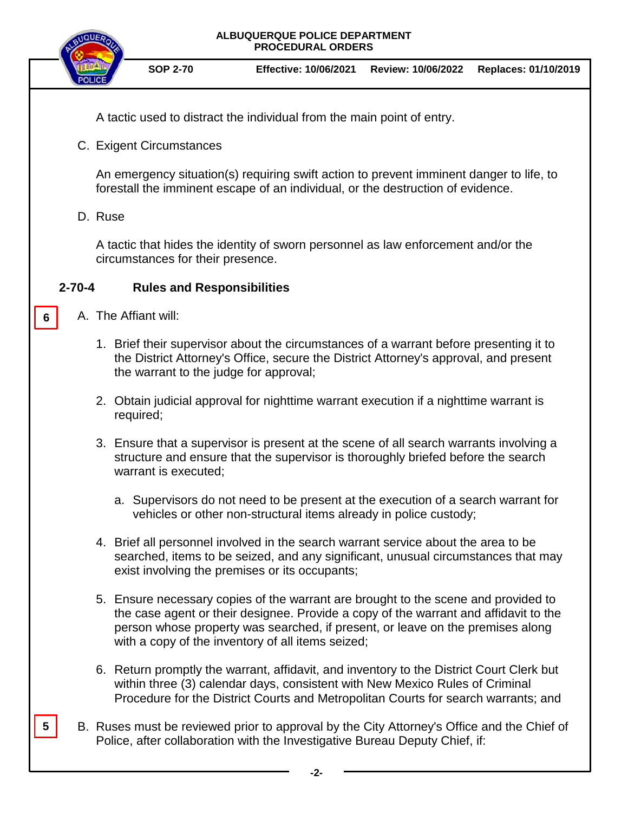

**SOP 2-70 Effective: 10/06/2021 Review: 10/06/2022 Replaces: 01/10/2019**

A tactic used to distract the individual from the main point of entry.

C. Exigent Circumstances

An emergency situation(s) requiring swift action to prevent imminent danger to life, to forestall the imminent escape of an individual, or the destruction of evidence.

## D. Ruse

**6**

A tactic that hides the identity of sworn personnel as law enforcement and/or the circumstances for their presence.

## **2-70-4 Rules and Responsibilities**

- A. The Affiant will:
	- 1. Brief their supervisor about the circumstances of a warrant before presenting it to the District Attorney's Office, secure the District Attorney's approval, and present the warrant to the judge for approval;
	- 2. Obtain judicial approval for nighttime warrant execution if a nighttime warrant is required;
	- 3. Ensure that a supervisor is present at the scene of all search warrants involving a structure and ensure that the supervisor is thoroughly briefed before the search warrant is executed;
		- a. Supervisors do not need to be present at the execution of a search warrant for vehicles or other non-structural items already in police custody;
	- 4. Brief all personnel involved in the search warrant service about the area to be searched, items to be seized, and any significant, unusual circumstances that may exist involving the premises or its occupants;
	- 5. Ensure necessary copies of the warrant are brought to the scene and provided to the case agent or their designee. Provide a copy of the warrant and affidavit to the person whose property was searched, if present, or leave on the premises along with a copy of the inventory of all items seized;
	- 6. Return promptly the warrant, affidavit, and inventory to the District Court Clerk but within three (3) calendar days, consistent with New Mexico Rules of Criminal Procedure for the District Courts and Metropolitan Courts for search warrants; and
- B. Ruses must be reviewed prior to approval by the City Attorney's Office and the Chief of Police, after collaboration with the Investigative Bureau Deputy Chief, if: **5**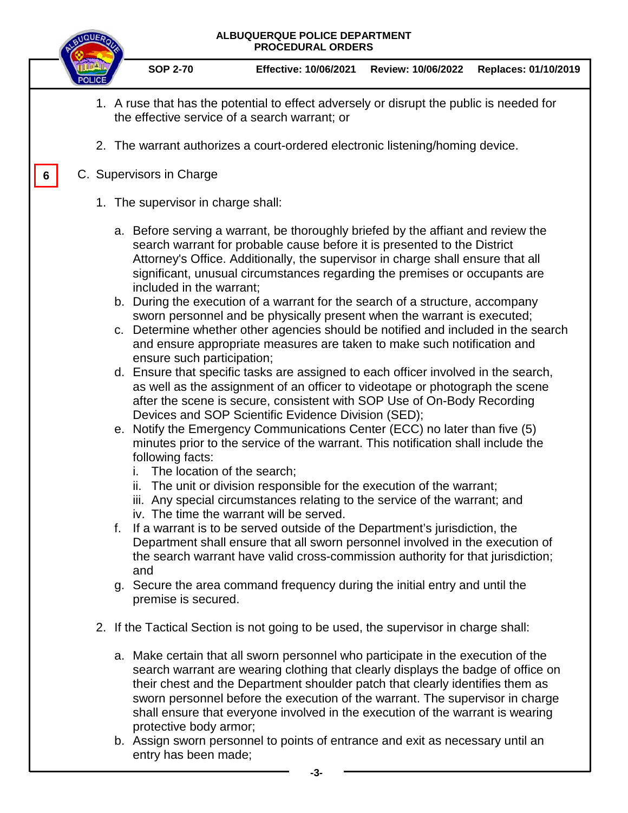

b. Assign sworn personnel to points of entrance and exit as necessary until an entry has been made;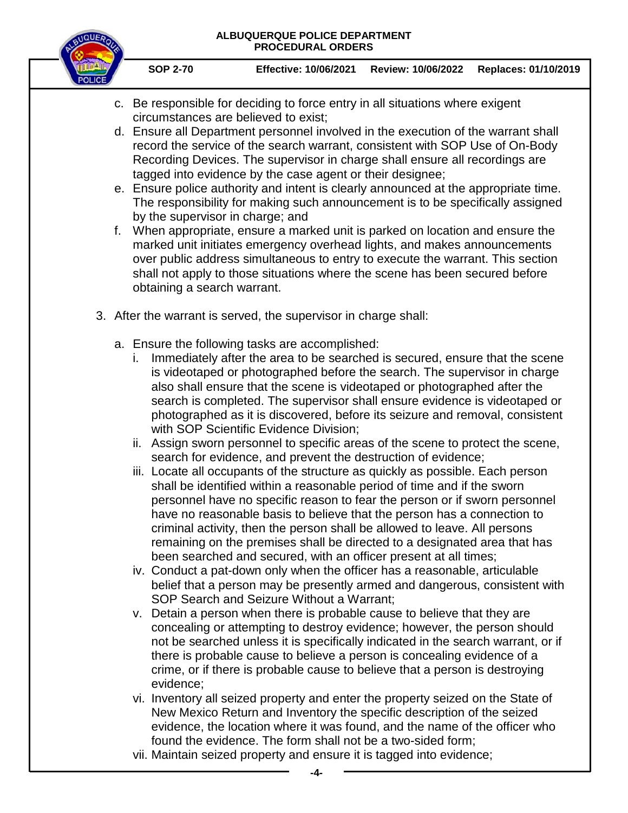

- c. Be responsible for deciding to force entry in all situations where exigent circumstances are believed to exist;
- d. Ensure all Department personnel involved in the execution of the warrant shall record the service of the search warrant, consistent with SOP Use of On-Body Recording Devices. The supervisor in charge shall ensure all recordings are tagged into evidence by the case agent or their designee;
- e. Ensure police authority and intent is clearly announced at the appropriate time. The responsibility for making such announcement is to be specifically assigned by the supervisor in charge; and
- f. When appropriate, ensure a marked unit is parked on location and ensure the marked unit initiates emergency overhead lights, and makes announcements over public address simultaneous to entry to execute the warrant. This section shall not apply to those situations where the scene has been secured before obtaining a search warrant.
- 3. After the warrant is served, the supervisor in charge shall:
	- a. Ensure the following tasks are accomplished:
		- i. Immediately after the area to be searched is secured, ensure that the scene is videotaped or photographed before the search. The supervisor in charge also shall ensure that the scene is videotaped or photographed after the search is completed. The supervisor shall ensure evidence is videotaped or photographed as it is discovered, before its seizure and removal, consistent with SOP Scientific Evidence Division;
		- ii. Assign sworn personnel to specific areas of the scene to protect the scene, search for evidence, and prevent the destruction of evidence;
		- iii. Locate all occupants of the structure as quickly as possible. Each person shall be identified within a reasonable period of time and if the sworn personnel have no specific reason to fear the person or if sworn personnel have no reasonable basis to believe that the person has a connection to criminal activity, then the person shall be allowed to leave. All persons remaining on the premises shall be directed to a designated area that has been searched and secured, with an officer present at all times;
		- iv. Conduct a pat-down only when the officer has a reasonable, articulable belief that a person may be presently armed and dangerous, consistent with SOP Search and Seizure Without a Warrant;
		- v. Detain a person when there is probable cause to believe that they are concealing or attempting to destroy evidence; however, the person should not be searched unless it is specifically indicated in the search warrant, or if there is probable cause to believe a person is concealing evidence of a crime, or if there is probable cause to believe that a person is destroying evidence;
		- vi. Inventory all seized property and enter the property seized on the State of New Mexico Return and Inventory the specific description of the seized evidence, the location where it was found, and the name of the officer who found the evidence. The form shall not be a two-sided form;
		- vii. Maintain seized property and ensure it is tagged into evidence;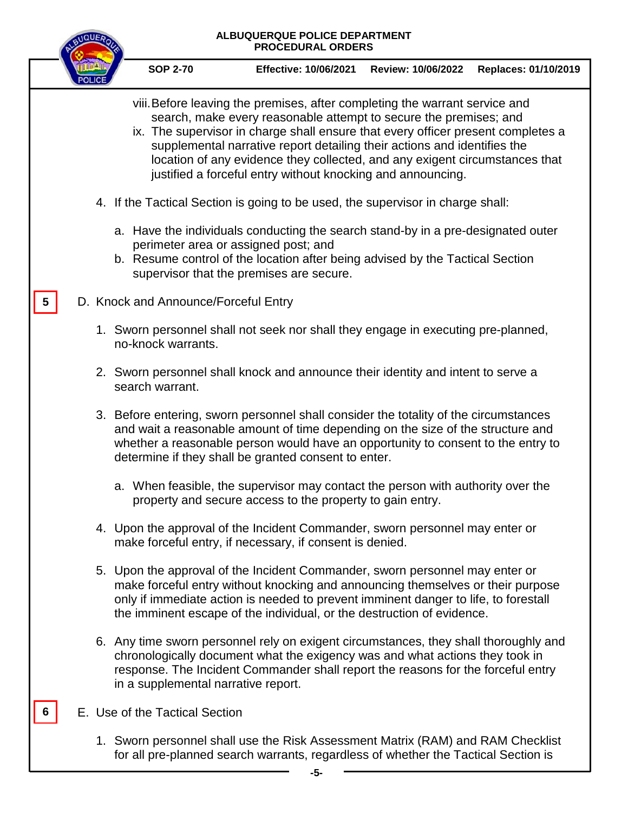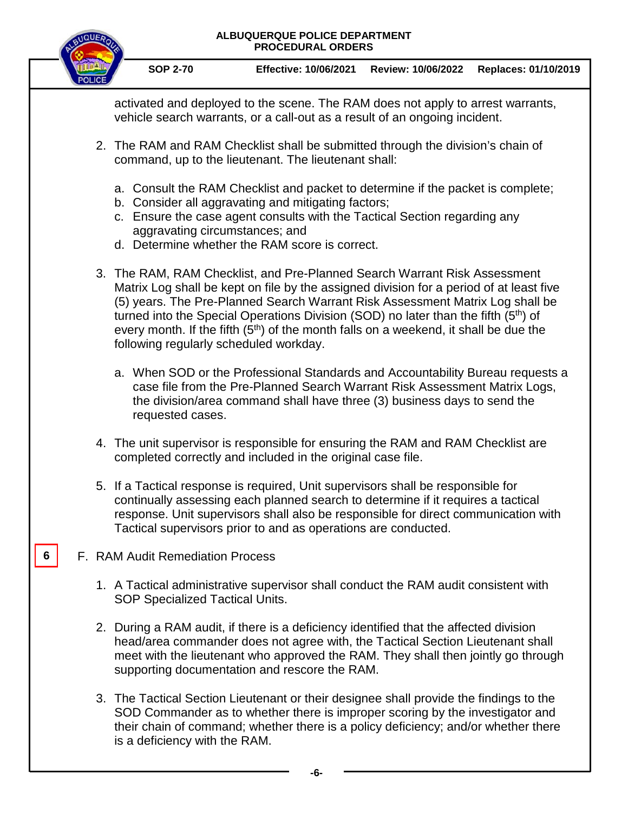

**SOP 2-70 Effective: 10/06/2021 Review: 10/06/2022 Replaces: 01/10/2019**

activated and deployed to the scene. The RAM does not apply to arrest warrants, vehicle search warrants, or a call-out as a result of an ongoing incident.

- 2. The RAM and RAM Checklist shall be submitted through the division's chain of command, up to the lieutenant. The lieutenant shall:
	- a. Consult the RAM Checklist and packet to determine if the packet is complete;
	- b. Consider all aggravating and mitigating factors;
	- c. Ensure the case agent consults with the Tactical Section regarding any aggravating circumstances; and
	- d. Determine whether the RAM score is correct.
- 3. The RAM, RAM Checklist, and Pre-Planned Search Warrant Risk Assessment Matrix Log shall be kept on file by the assigned division for a period of at least five (5) years. The Pre-Planned Search Warrant Risk Assessment Matrix Log shall be turned into the Special Operations Division (SOD) no later than the fifth  $(5<sup>th</sup>)$  of every month. If the fifth  $(5<sup>th</sup>)$  of the month falls on a weekend, it shall be due the following regularly scheduled workday.
	- a. When SOD or the Professional Standards and Accountability Bureau requests a case file from the Pre-Planned Search Warrant Risk Assessment Matrix Logs, the division/area command shall have three (3) business days to send the requested cases.
- 4. The unit supervisor is responsible for ensuring the RAM and RAM Checklist are completed correctly and included in the original case file.
- 5. If a Tactical response is required, Unit supervisors shall be responsible for continually assessing each planned search to determine if it requires a tactical response. Unit supervisors shall also be responsible for direct communication with Tactical supervisors prior to and as operations are conducted.
- F. RAM Audit Remediation Process

**6**

- 1. A Tactical administrative supervisor shall conduct the RAM audit consistent with SOP Specialized Tactical Units.
- 2. During a RAM audit, if there is a deficiency identified that the affected division head/area commander does not agree with, the Tactical Section Lieutenant shall meet with the lieutenant who approved the RAM. They shall then jointly go through supporting documentation and rescore the RAM.
- 3. The Tactical Section Lieutenant or their designee shall provide the findings to the SOD Commander as to whether there is improper scoring by the investigator and their chain of command; whether there is a policy deficiency; and/or whether there is a deficiency with the RAM.